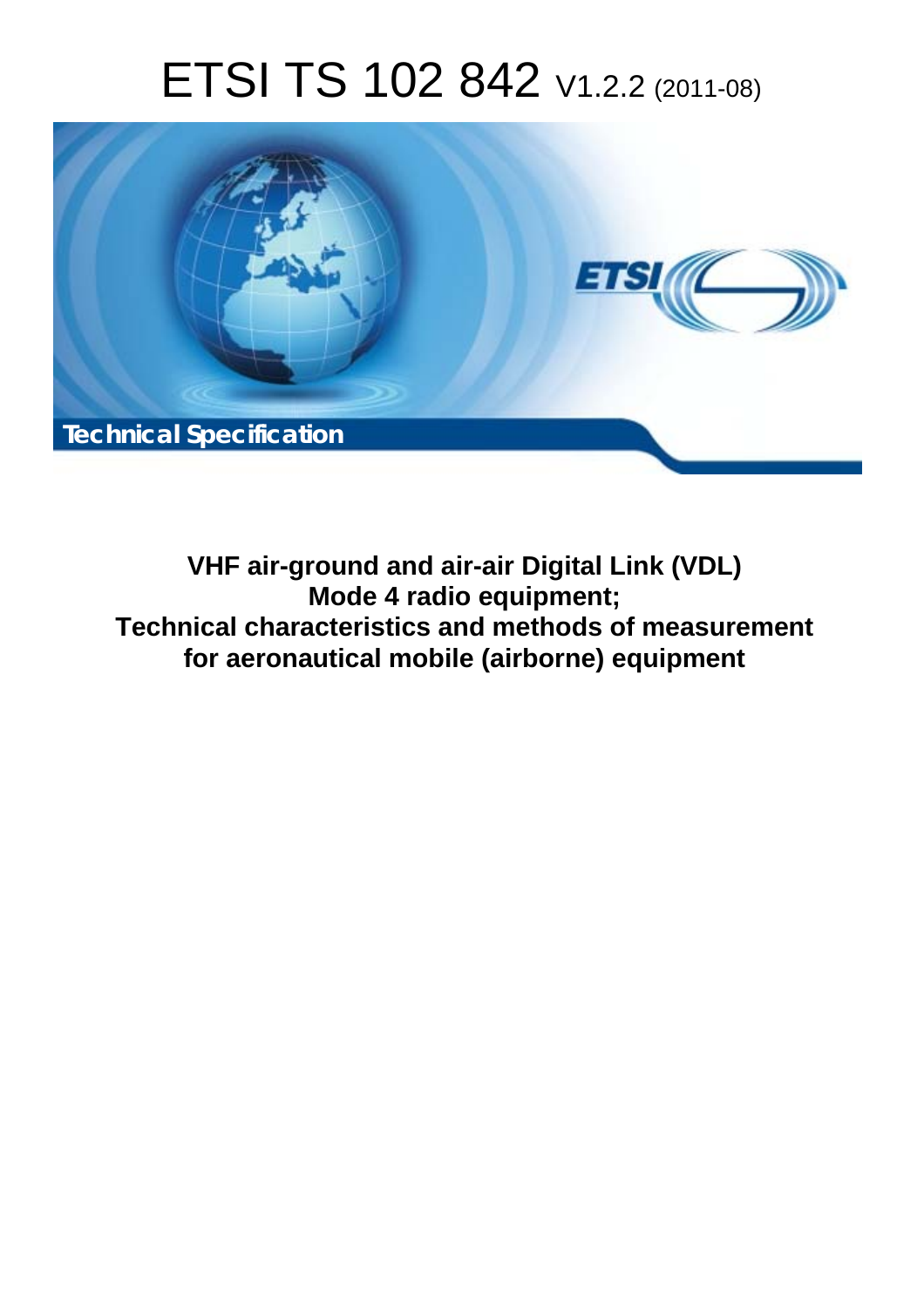# ETSI TS 102 842 V1.2.2 (2011-08)



**VHF air-ground and air-air Digital Link (VDL) Mode 4 radio equipment; Technical characteristics and methods of measurement for aeronautical mobile (airborne) equipment**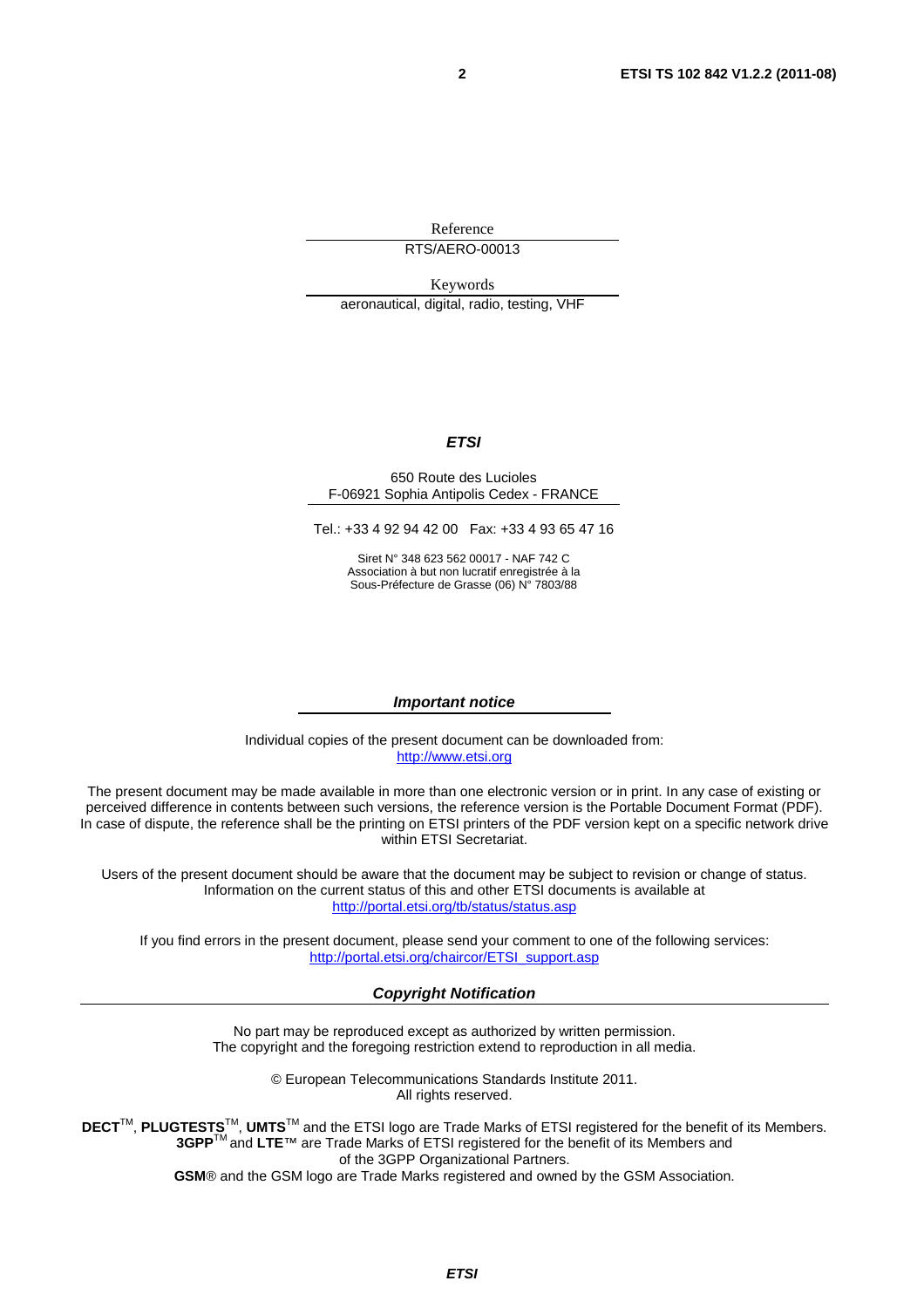Reference RTS/AERO-00013

Keywords aeronautical, digital, radio, testing, VHF

#### *ETSI*

#### 650 Route des Lucioles F-06921 Sophia Antipolis Cedex - FRANCE

Tel.: +33 4 92 94 42 00 Fax: +33 4 93 65 47 16

Siret N° 348 623 562 00017 - NAF 742 C Association à but non lucratif enregistrée à la Sous-Préfecture de Grasse (06) N° 7803/88

#### *Important notice*

Individual copies of the present document can be downloaded from: [http://www.etsi.org](http://www.etsi.org/)

The present document may be made available in more than one electronic version or in print. In any case of existing or perceived difference in contents between such versions, the reference version is the Portable Document Format (PDF). In case of dispute, the reference shall be the printing on ETSI printers of the PDF version kept on a specific network drive within ETSI Secretariat.

Users of the present document should be aware that the document may be subject to revision or change of status. Information on the current status of this and other ETSI documents is available at <http://portal.etsi.org/tb/status/status.asp>

If you find errors in the present document, please send your comment to one of the following services: [http://portal.etsi.org/chaircor/ETSI\\_support.asp](http://portal.etsi.org/chaircor/ETSI_support.asp)

#### *Copyright Notification*

No part may be reproduced except as authorized by written permission. The copyright and the foregoing restriction extend to reproduction in all media.

> © European Telecommunications Standards Institute 2011. All rights reserved.

DECT<sup>™</sup>, PLUGTESTS<sup>™</sup>, UMTS<sup>™</sup> and the ETSI logo are Trade Marks of ETSI registered for the benefit of its Members. **3GPP**TM and **LTE**™ are Trade Marks of ETSI registered for the benefit of its Members and of the 3GPP Organizational Partners.

**GSM**® and the GSM logo are Trade Marks registered and owned by the GSM Association.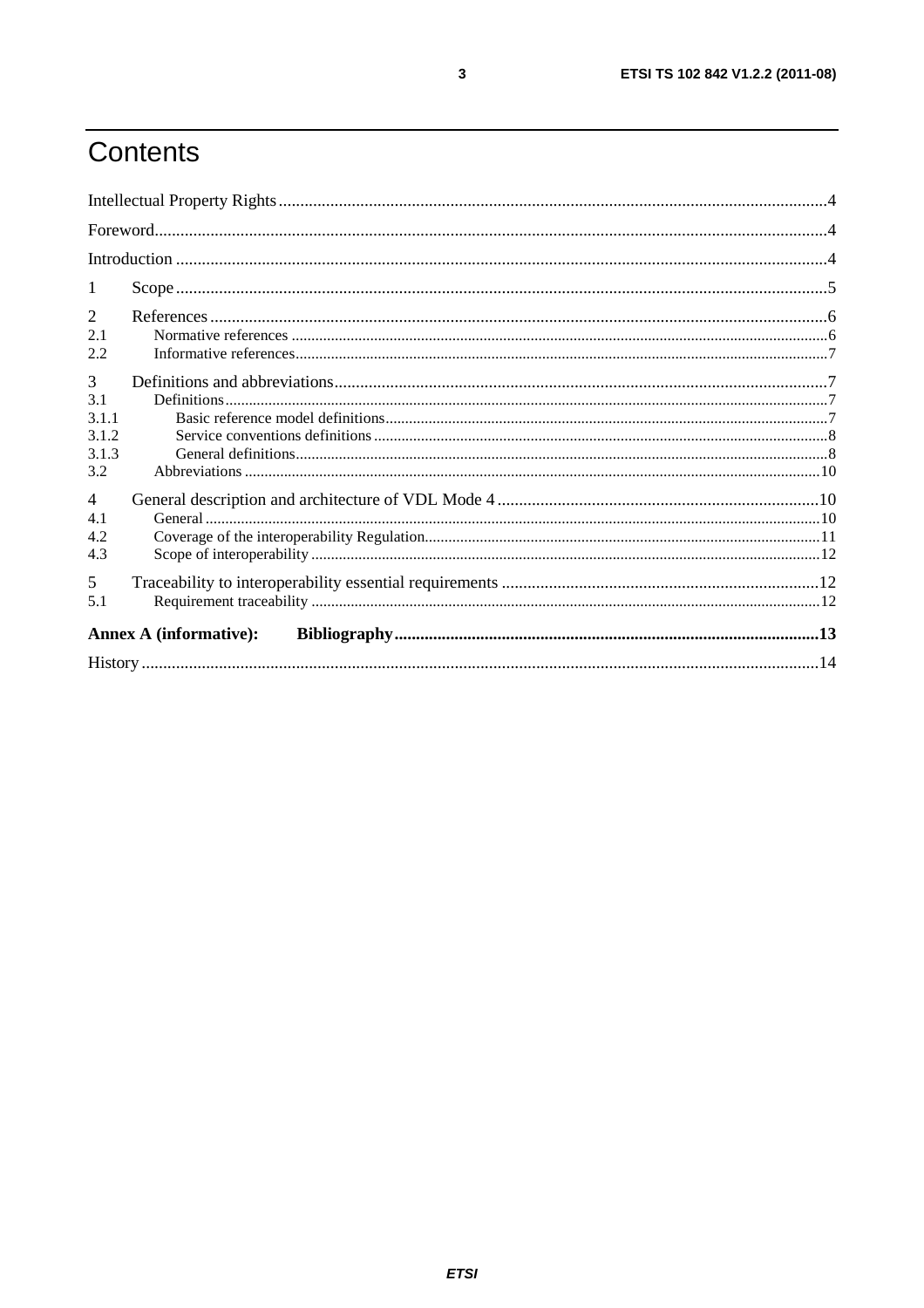# Contents

| -1             |                               |  |
|----------------|-------------------------------|--|
| 2              |                               |  |
| 2.1            |                               |  |
| 2.2            |                               |  |
| 3              |                               |  |
| 3.1            |                               |  |
| 3.1.1          |                               |  |
| 3.1.2          |                               |  |
| 3.1.3          |                               |  |
| 3.2            |                               |  |
| $\overline{4}$ |                               |  |
| 4.1            |                               |  |
| 4.2            |                               |  |
| 4.3            |                               |  |
| 5              |                               |  |
| 5.1            |                               |  |
|                | <b>Annex A (informative):</b> |  |
|                |                               |  |
|                |                               |  |

 $\overline{\mathbf{3}}$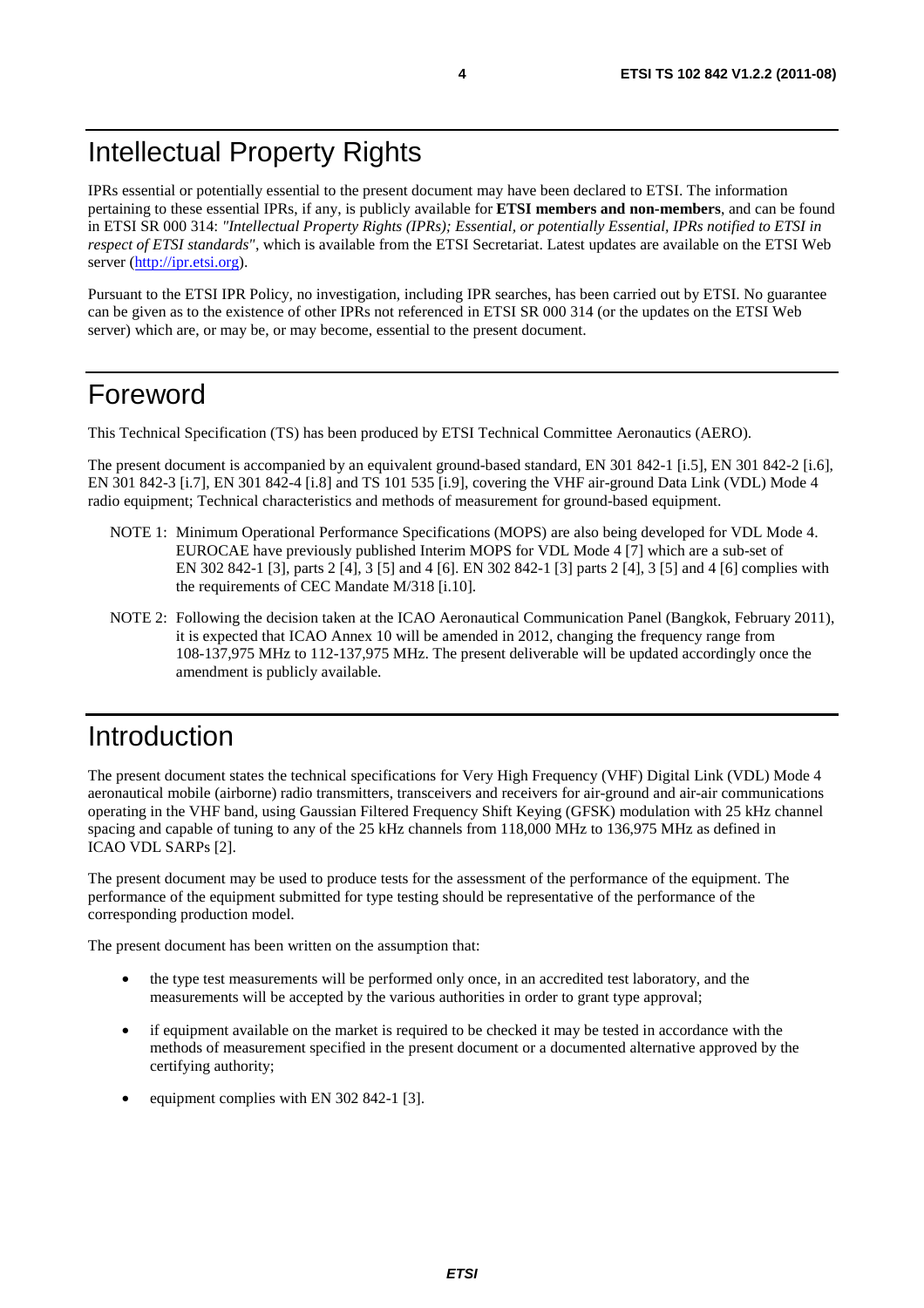IPRs essential or potentially essential to the present document may have been declared to ETSI. The information pertaining to these essential IPRs, if any, is publicly available for **ETSI members and non-members**, and can be found in ETSI SR 000 314: *"Intellectual Property Rights (IPRs); Essential, or potentially Essential, IPRs notified to ETSI in respect of ETSI standards"*, which is available from the ETSI Secretariat. Latest updates are available on the ETSI Web server [\(http://ipr.etsi.org](http://webapp.etsi.org/IPR/home.asp)).

Pursuant to the ETSI IPR Policy, no investigation, including IPR searches, has been carried out by ETSI. No guarantee can be given as to the existence of other IPRs not referenced in ETSI SR 000 314 (or the updates on the ETSI Web server) which are, or may be, or may become, essential to the present document.

### Foreword

This Technical Specification (TS) has been produced by ETSI Technical Committee Aeronautics (AERO).

The present document is accompanied by an equivalent ground-based standard, EN 301 842-1 [i.5], EN 301 842-2 [i.6], EN 301 842-3 [i.7], EN 301 842-4 [i.8] and TS 101 535 [i.9], covering the VHF air-ground Data Link (VDL) Mode 4 radio equipment; Technical characteristics and methods of measurement for ground-based equipment.

- NOTE 1: Minimum Operational Performance Specifications (MOPS) are also being developed for VDL Mode 4. EUROCAE have previously published Interim MOPS for VDL Mode 4 [7] which are a sub-set of EN 302 842-1 [3], parts 2 [4], 3 [5] and 4 [6]. EN 302 842-1 [3] parts 2 [4], 3 [5] and 4 [6] complies with the requirements of CEC Mandate M/318 [i.10].
- NOTE 2: Following the decision taken at the ICAO Aeronautical Communication Panel (Bangkok, February 2011), it is expected that ICAO Annex 10 will be amended in 2012, changing the frequency range from 108-137,975 MHz to 112-137,975 MHz. The present deliverable will be updated accordingly once the amendment is publicly available.

## Introduction

The present document states the technical specifications for Very High Frequency (VHF) Digital Link (VDL) Mode 4 aeronautical mobile (airborne) radio transmitters, transceivers and receivers for air-ground and air-air communications operating in the VHF band, using Gaussian Filtered Frequency Shift Keying (GFSK) modulation with 25 kHz channel spacing and capable of tuning to any of the 25 kHz channels from 118,000 MHz to 136,975 MHz as defined in ICAO VDL SARPs [2].

The present document may be used to produce tests for the assessment of the performance of the equipment. The performance of the equipment submitted for type testing should be representative of the performance of the corresponding production model.

The present document has been written on the assumption that:

- the type test measurements will be performed only once, in an accredited test laboratory, and the measurements will be accepted by the various authorities in order to grant type approval;
- if equipment available on the market is required to be checked it may be tested in accordance with the methods of measurement specified in the present document or a documented alternative approved by the certifying authority;
- equipment complies with EN 302 842-1 [3].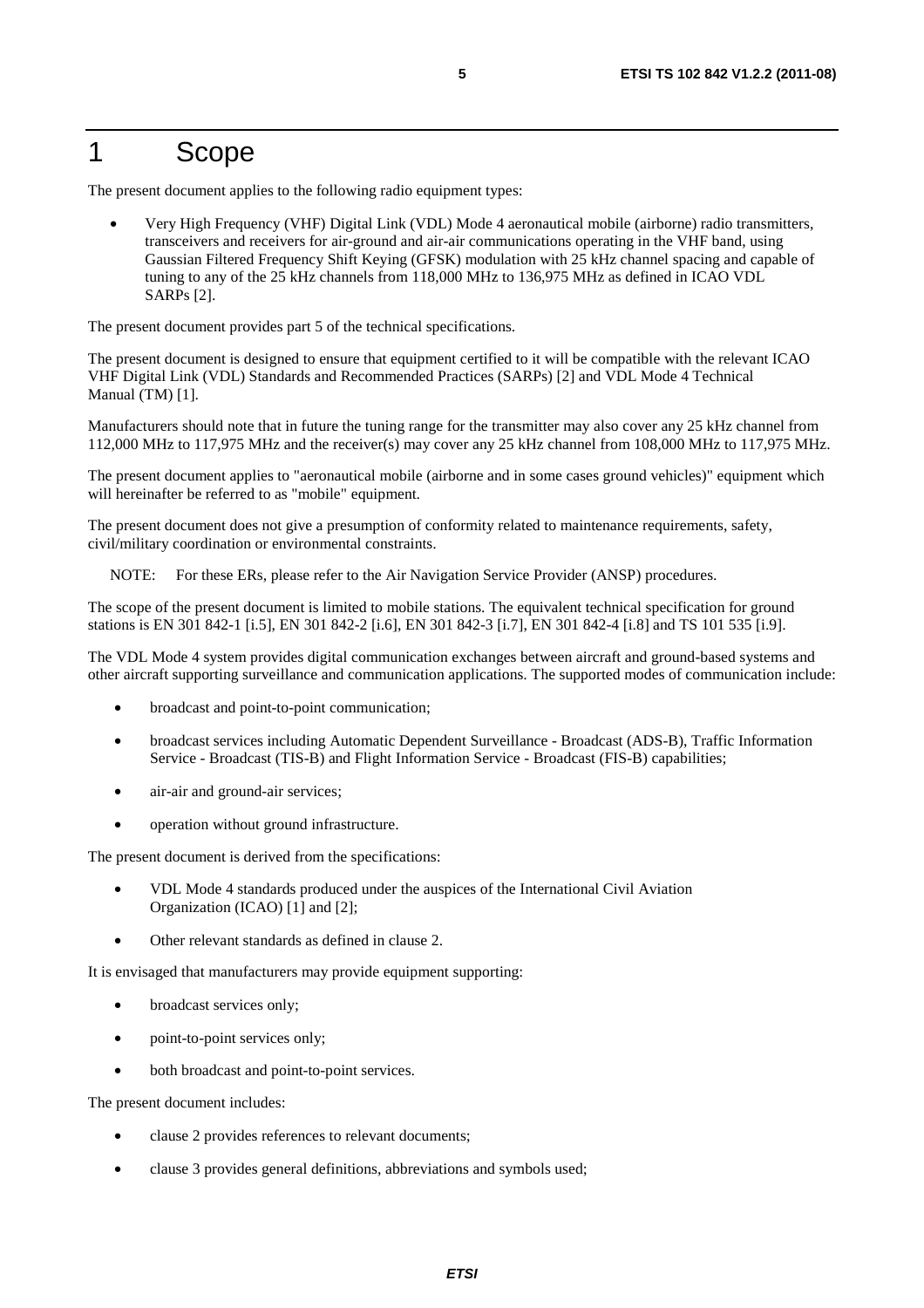#### 1 Scope

The present document applies to the following radio equipment types:

• Very High Frequency (VHF) Digital Link (VDL) Mode 4 aeronautical mobile (airborne) radio transmitters, transceivers and receivers for air-ground and air-air communications operating in the VHF band, using Gaussian Filtered Frequency Shift Keying (GFSK) modulation with 25 kHz channel spacing and capable of tuning to any of the 25 kHz channels from 118,000 MHz to 136,975 MHz as defined in ICAO VDL SARPs [2].

The present document provides part 5 of the technical specifications.

The present document is designed to ensure that equipment certified to it will be compatible with the relevant ICAO VHF Digital Link (VDL) Standards and Recommended Practices (SARPs) [2] and VDL Mode 4 Technical Manual (TM) [1].

Manufacturers should note that in future the tuning range for the transmitter may also cover any 25 kHz channel from 112,000 MHz to 117,975 MHz and the receiver(s) may cover any 25 kHz channel from 108,000 MHz to 117,975 MHz.

The present document applies to "aeronautical mobile (airborne and in some cases ground vehicles)" equipment which will hereinafter be referred to as "mobile" equipment.

The present document does not give a presumption of conformity related to maintenance requirements, safety, civil/military coordination or environmental constraints.

NOTE: For these ERs, please refer to the Air Navigation Service Provider (ANSP) procedures.

The scope of the present document is limited to mobile stations. The equivalent technical specification for ground stations is EN 301 842-1 [i.5], EN 301 842-2 [i.6], EN 301 842-3 [i.7], EN 301 842-4 [i.8] and TS 101 535 [i.9].

The VDL Mode 4 system provides digital communication exchanges between aircraft and ground-based systems and other aircraft supporting surveillance and communication applications. The supported modes of communication include:

- broadcast and point-to-point communication;
- broadcast services including Automatic Dependent Surveillance Broadcast (ADS-B), Traffic Information Service - Broadcast (TIS-B) and Flight Information Service - Broadcast (FIS-B) capabilities;
- air-air and ground-air services;
- operation without ground infrastructure.

The present document is derived from the specifications:

- VDL Mode 4 standards produced under the auspices of the International Civil Aviation Organization (ICAO) [1] and [2];
- Other relevant standards as defined in clause 2.

It is envisaged that manufacturers may provide equipment supporting:

- broadcast services only;
- point-to-point services only;
- both broadcast and point-to-point services.

The present document includes:

- clause 2 provides references to relevant documents;
- clause 3 provides general definitions, abbreviations and symbols used;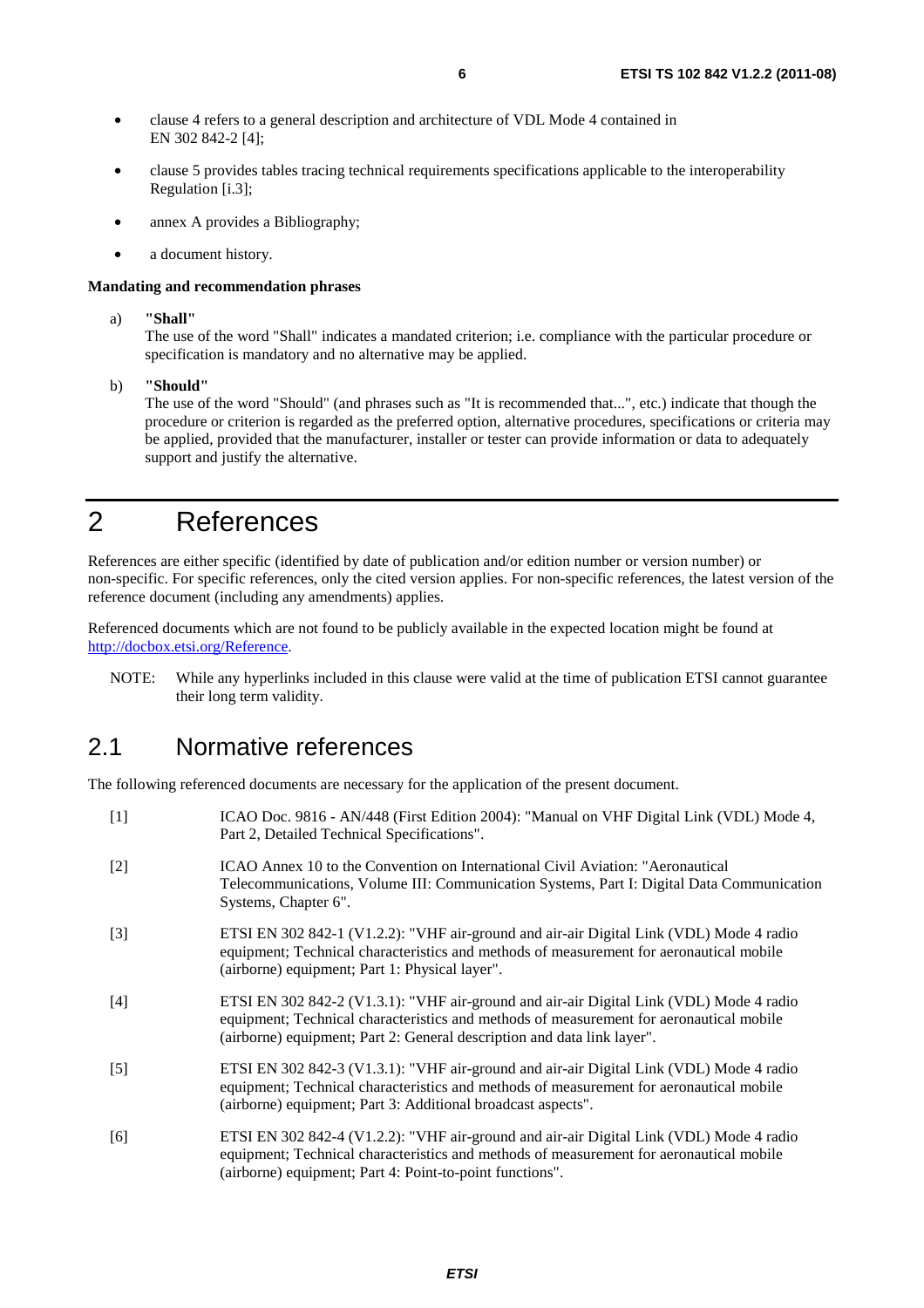- clause 4 refers to a general description and architecture of VDL Mode 4 contained in EN 302 842-2 [4];
- clause 5 provides tables tracing technical requirements specifications applicable to the interoperability Regulation [i.3];
- annex A provides a Bibliography;
- a document history.

#### **Mandating and recommendation phrases**

a) **"Shall"**

The use of the word "Shall" indicates a mandated criterion; i.e. compliance with the particular procedure or specification is mandatory and no alternative may be applied.

b) **"Should"**

The use of the word "Should" (and phrases such as "It is recommended that...", etc.) indicate that though the procedure or criterion is regarded as the preferred option, alternative procedures, specifications or criteria may be applied, provided that the manufacturer, installer or tester can provide information or data to adequately support and justify the alternative.

# 2 References

References are either specific (identified by date of publication and/or edition number or version number) or non-specific. For specific references, only the cited version applies. For non-specific references, the latest version of the reference document (including any amendments) applies.

Referenced documents which are not found to be publicly available in the expected location might be found at [http://docbox.etsi.org/Reference.](http://docbox.etsi.org/Reference)

NOTE: While any hyperlinks included in this clause were valid at the time of publication ETSI cannot guarantee their long term validity.

#### 2.1 Normative references

The following referenced documents are necessary for the application of the present document.

| $[1]$             | ICAO Doc. 9816 - AN/448 (First Edition 2004): "Manual on VHF Digital Link (VDL) Mode 4,<br>Part 2, Detailed Technical Specifications".                                                                                                                        |
|-------------------|---------------------------------------------------------------------------------------------------------------------------------------------------------------------------------------------------------------------------------------------------------------|
| $\lceil 2 \rceil$ | ICAO Annex 10 to the Convention on International Civil Aviation: "Aeronautical<br>Telecommunications, Volume III: Communication Systems, Part I: Digital Data Communication<br>Systems, Chapter 6".                                                           |
| $\lceil 3 \rceil$ | ETSI EN 302 842-1 (V1.2.2): "VHF air-ground and air-air Digital Link (VDL) Mode 4 radio<br>equipment; Technical characteristics and methods of measurement for aeronautical mobile<br>(airborne) equipment; Part 1: Physical layer".                          |
| [4]               | ETSI EN 302 842-2 (V1.3.1): "VHF air-ground and air-air Digital Link (VDL) Mode 4 radio<br>equipment; Technical characteristics and methods of measurement for aeronautical mobile<br>(airborne) equipment; Part 2: General description and data link layer". |
| $\lceil 5 \rceil$ | ETSI EN 302 842-3 (V1.3.1): "VHF air-ground and air-air Digital Link (VDL) Mode 4 radio<br>equipment; Technical characteristics and methods of measurement for aeronautical mobile<br>(airborne) equipment; Part 3: Additional broadcast aspects".            |
| [6]               | ETSI EN 302 842-4 (V1.2.2): "VHF air-ground and air-air Digital Link (VDL) Mode 4 radio<br>equipment; Technical characteristics and methods of measurement for aeronautical mobile<br>(airborne) equipment; Part 4: Point-to-point functions".                |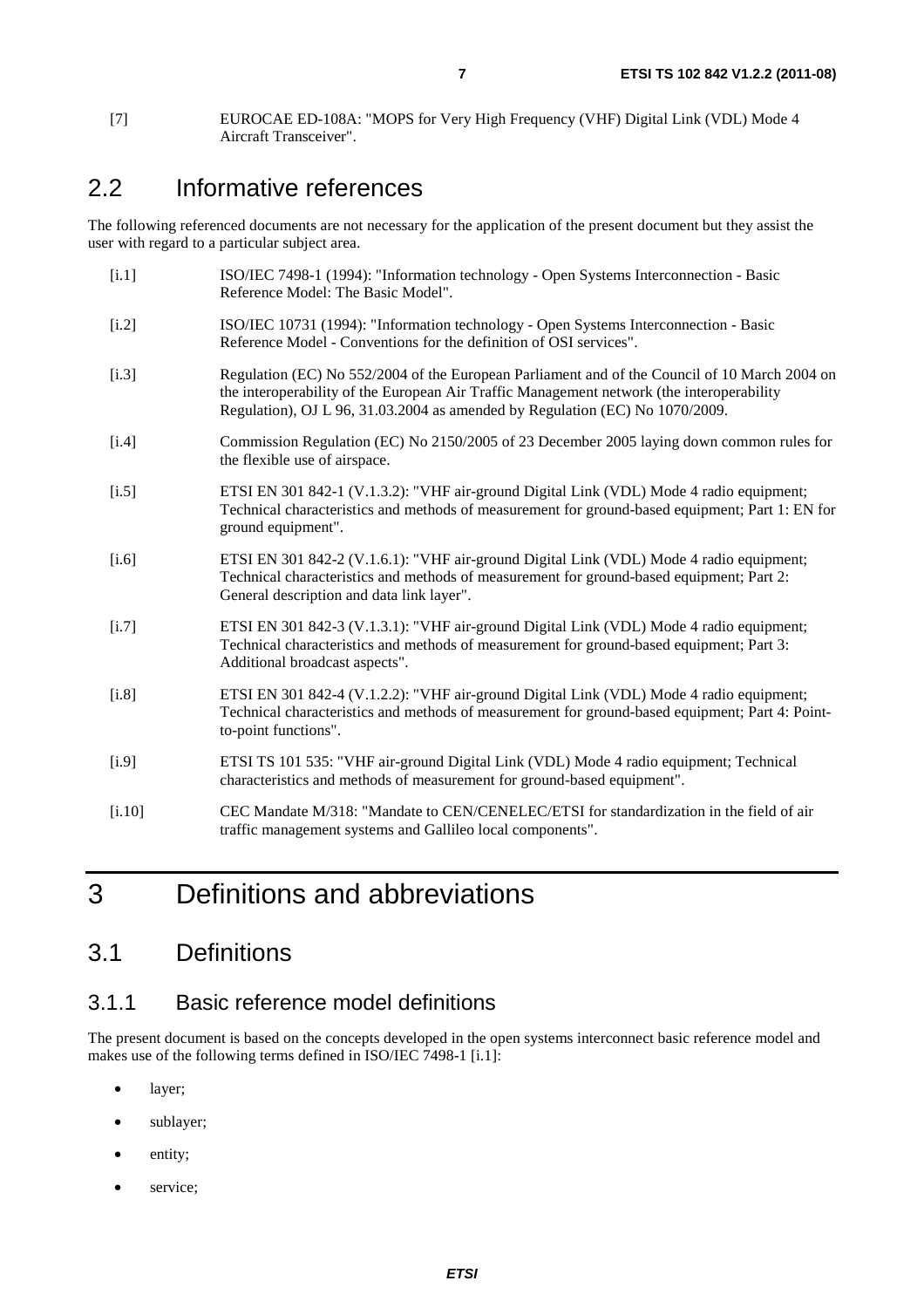### 2.2 Informative references

The following referenced documents are not necessary for the application of the present document but they assist the user with regard to a particular subject area.

| [i.1]   | ISO/IEC 7498-1 (1994): "Information technology - Open Systems Interconnection - Basic<br>Reference Model: The Basic Model".                                                                                                                                                |
|---------|----------------------------------------------------------------------------------------------------------------------------------------------------------------------------------------------------------------------------------------------------------------------------|
| $[1.2]$ | ISO/IEC 10731 (1994): "Information technology - Open Systems Interconnection - Basic<br>Reference Model - Conventions for the definition of OSI services".                                                                                                                 |
| $[$ .3] | Regulation (EC) No 552/2004 of the European Parliament and of the Council of 10 March 2004 on<br>the interoperability of the European Air Traffic Management network (the interoperability<br>Regulation), OJ L 96, 31.03.2004 as amended by Regulation (EC) No 1070/2009. |
| [i.4]   | Commission Regulation (EC) No 2150/2005 of 23 December 2005 laying down common rules for<br>the flexible use of airspace.                                                                                                                                                  |
| $[1.5]$ | ETSI EN 301 842-1 (V.1.3.2): "VHF air-ground Digital Link (VDL) Mode 4 radio equipment;<br>Technical characteristics and methods of measurement for ground-based equipment; Part 1: EN for<br>ground equipment".                                                           |
| $[1.6]$ | ETSI EN 301 842-2 (V.1.6.1): "VHF air-ground Digital Link (VDL) Mode 4 radio equipment;<br>Technical characteristics and methods of measurement for ground-based equipment; Part 2:<br>General description and data link layer".                                           |
| [i.7]   | ETSI EN 301 842-3 (V.1.3.1): "VHF air-ground Digital Link (VDL) Mode 4 radio equipment;<br>Technical characteristics and methods of measurement for ground-based equipment; Part 3:<br>Additional broadcast aspects".                                                      |
| [i.8]   | ETSI EN 301 842-4 (V.1.2.2): "VHF air-ground Digital Link (VDL) Mode 4 radio equipment;<br>Technical characteristics and methods of measurement for ground-based equipment; Part 4: Point-<br>to-point functions".                                                         |
| [i.9]   | ETSI TS 101 535: "VHF air-ground Digital Link (VDL) Mode 4 radio equipment; Technical<br>characteristics and methods of measurement for ground-based equipment".                                                                                                           |
| [i.10]  | CEC Mandate M/318: "Mandate to CEN/CENELEC/ETSI for standardization in the field of air<br>traffic management systems and Gallileo local components".                                                                                                                      |
|         |                                                                                                                                                                                                                                                                            |

# 3 Definitions and abbreviations

### 3.1 Definitions

#### 3.1.1 Basic reference model definitions

The present document is based on the concepts developed in the open systems interconnect basic reference model and makes use of the following terms defined in ISO/IEC 7498-1 [i.1]:

- layer;
- sublayer;
- entity;
- service;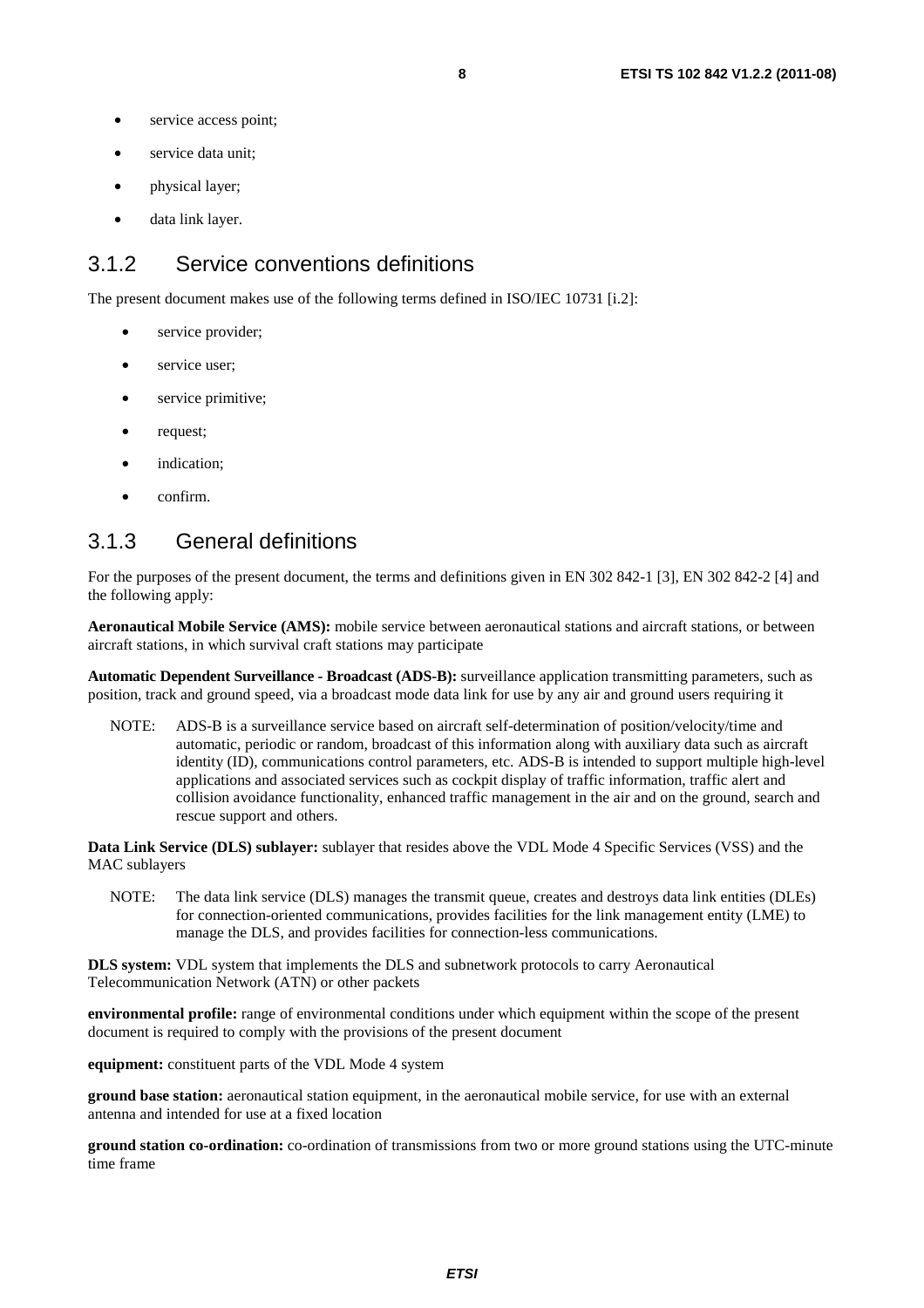- service access point;
- service data unit:
- physical layer;
- data link layer.

#### 3.1.2 Service conventions definitions

The present document makes use of the following terms defined in ISO/IEC 10731 [i.2]:

- service provider;
- service user;
- service primitive;
- request;
- indication;
- confirm.

#### 3.1.3 General definitions

For the purposes of the present document, the terms and definitions given in EN 302 842-1 [3], EN 302 842-2 [4] and the following apply:

**Aeronautical Mobile Service (AMS):** mobile service between aeronautical stations and aircraft stations, or between aircraft stations, in which survival craft stations may participate

**Automatic Dependent Surveillance - Broadcast (ADS-B):** surveillance application transmitting parameters, such as position, track and ground speed, via a broadcast mode data link for use by any air and ground users requiring it

NOTE: ADS-B is a surveillance service based on aircraft self-determination of position/velocity/time and automatic, periodic or random, broadcast of this information along with auxiliary data such as aircraft identity (ID), communications control parameters, etc. ADS-B is intended to support multiple high-level applications and associated services such as cockpit display of traffic information, traffic alert and collision avoidance functionality, enhanced traffic management in the air and on the ground, search and rescue support and others.

**Data Link Service (DLS) sublayer:** sublayer that resides above the VDL Mode 4 Specific Services (VSS) and the MAC sublayers

NOTE: The data link service (DLS) manages the transmit queue, creates and destroys data link entities (DLEs) for connection-oriented communications, provides facilities for the link management entity (LME) to manage the DLS, and provides facilities for connection-less communications.

**DLS system:** VDL system that implements the DLS and subnetwork protocols to carry Aeronautical Telecommunication Network (ATN) or other packets

**environmental profile:** range of environmental conditions under which equipment within the scope of the present document is required to comply with the provisions of the present document

**equipment:** constituent parts of the VDL Mode 4 system

**ground base station:** aeronautical station equipment, in the aeronautical mobile service, for use with an external antenna and intended for use at a fixed location

**ground station co-ordination:** co-ordination of transmissions from two or more ground stations using the UTC-minute time frame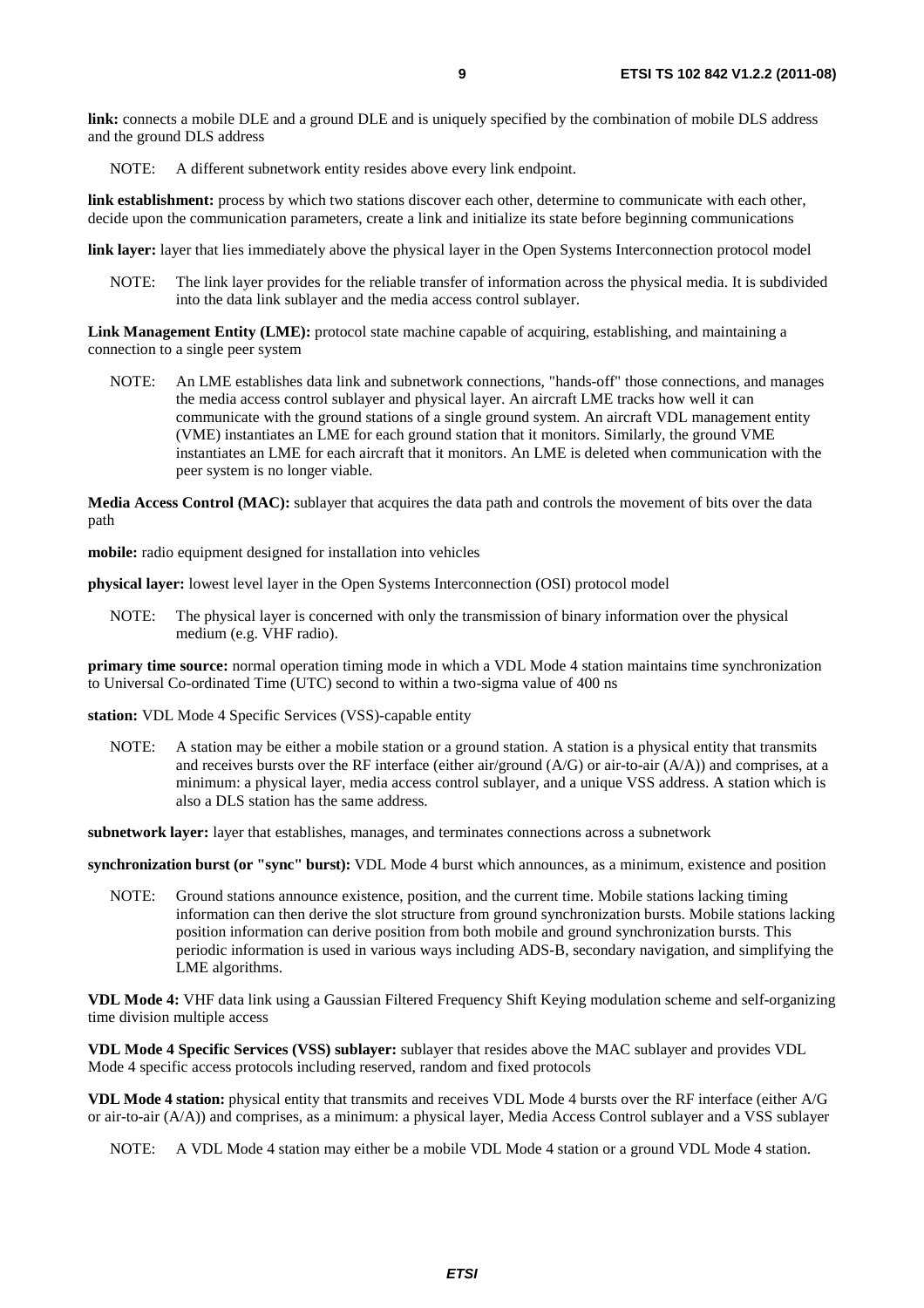**link:** connects a mobile DLE and a ground DLE and is uniquely specified by the combination of mobile DLS address and the ground DLS address

NOTE: A different subnetwork entity resides above every link endpoint.

**link establishment:** process by which two stations discover each other, determine to communicate with each other, decide upon the communication parameters, create a link and initialize its state before beginning communications

**link layer:** layer that lies immediately above the physical layer in the Open Systems Interconnection protocol model

NOTE: The link layer provides for the reliable transfer of information across the physical media. It is subdivided into the data link sublayer and the media access control sublayer.

**Link Management Entity (LME):** protocol state machine capable of acquiring, establishing, and maintaining a connection to a single peer system

NOTE: An LME establishes data link and subnetwork connections, "hands-off" those connections, and manages the media access control sublayer and physical layer. An aircraft LME tracks how well it can communicate with the ground stations of a single ground system. An aircraft VDL management entity (VME) instantiates an LME for each ground station that it monitors. Similarly, the ground VME instantiates an LME for each aircraft that it monitors. An LME is deleted when communication with the peer system is no longer viable.

**Media Access Control (MAC):** sublayer that acquires the data path and controls the movement of bits over the data path

**mobile:** radio equipment designed for installation into vehicles

**physical layer:** lowest level layer in the Open Systems Interconnection (OSI) protocol model

NOTE: The physical layer is concerned with only the transmission of binary information over the physical medium (e.g. VHF radio).

**primary time source:** normal operation timing mode in which a VDL Mode 4 station maintains time synchronization to Universal Co-ordinated Time (UTC) second to within a two-sigma value of 400 ns

**station:** VDL Mode 4 Specific Services (VSS)-capable entity

NOTE: A station may be either a mobile station or a ground station. A station is a physical entity that transmits and receives bursts over the RF interface (either air/ground (A/G) or air-to-air (A/A)) and comprises, at a minimum: a physical layer, media access control sublayer, and a unique VSS address. A station which is also a DLS station has the same address.

**subnetwork layer:** layer that establishes, manages, and terminates connections across a subnetwork

**synchronization burst (or "sync" burst):** VDL Mode 4 burst which announces, as a minimum, existence and position

NOTE: Ground stations announce existence, position, and the current time. Mobile stations lacking timing information can then derive the slot structure from ground synchronization bursts. Mobile stations lacking position information can derive position from both mobile and ground synchronization bursts. This periodic information is used in various ways including ADS-B, secondary navigation, and simplifying the LME algorithms.

**VDL Mode 4:** VHF data link using a Gaussian Filtered Frequency Shift Keying modulation scheme and self-organizing time division multiple access

**VDL Mode 4 Specific Services (VSS) sublayer:** sublayer that resides above the MAC sublayer and provides VDL Mode 4 specific access protocols including reserved, random and fixed protocols

**VDL Mode 4 station:** physical entity that transmits and receives VDL Mode 4 bursts over the RF interface (either A/G or air-to-air (A/A)) and comprises, as a minimum: a physical layer, Media Access Control sublayer and a VSS sublayer

NOTE: A VDL Mode 4 station may either be a mobile VDL Mode 4 station or a ground VDL Mode 4 station.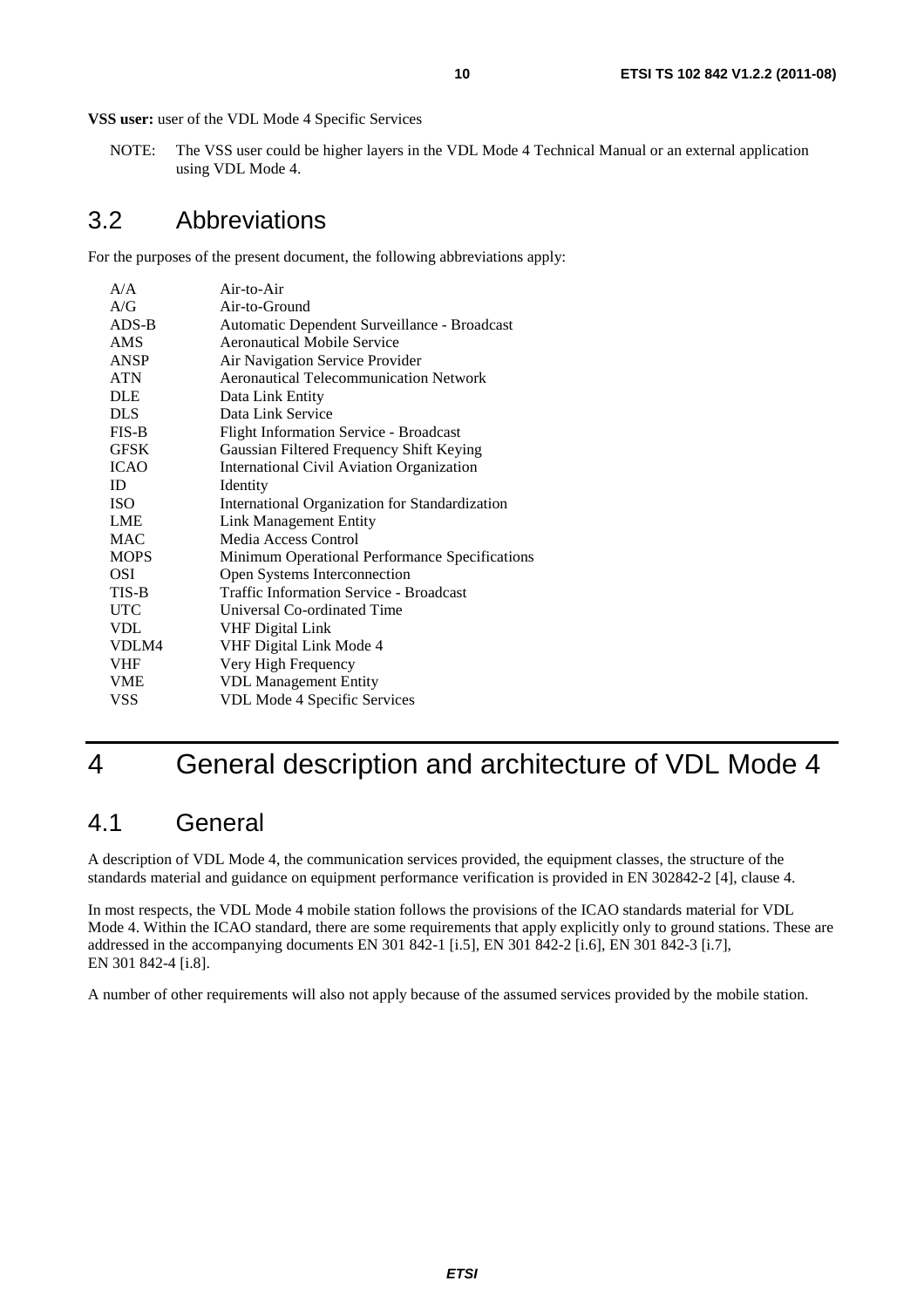**VSS user:** user of the VDL Mode 4 Specific Services

NOTE: The VSS user could be higher layers in the VDL Mode 4 Technical Manual or an external application using VDL Mode 4.

#### 3.2 Abbreviations

For the purposes of the present document, the following abbreviations apply:

| Air-to-Air                                       |
|--------------------------------------------------|
| Air-to-Ground                                    |
| Automatic Dependent Surveillance - Broadcast     |
| Aeronautical Mobile Service                      |
| Air Navigation Service Provider                  |
| <b>Aeronautical Telecommunication Network</b>    |
| Data Link Entity                                 |
| Data Link Service                                |
| <b>Flight Information Service - Broadcast</b>    |
| Gaussian Filtered Frequency Shift Keying         |
| <b>International Civil Aviation Organization</b> |
| Identity                                         |
| International Organization for Standardization   |
| <b>Link Management Entity</b>                    |
| Media Access Control                             |
| Minimum Operational Performance Specifications   |
| Open Systems Interconnection                     |
| <b>Traffic Information Service - Broadcast</b>   |
| Universal Co-ordinated Time                      |
| <b>VHF Digital Link</b>                          |
| VHF Digital Link Mode 4                          |
| Very High Frequency                              |
| <b>VDL Management Entity</b>                     |
| VDL Mode 4 Specific Services                     |
|                                                  |

# 4 General description and architecture of VDL Mode 4

#### 4.1 General

A description of VDL Mode 4, the communication services provided, the equipment classes, the structure of the standards material and guidance on equipment performance verification is provided in EN 302842-2 [4], clause 4.

In most respects, the VDL Mode 4 mobile station follows the provisions of the ICAO standards material for VDL Mode 4. Within the ICAO standard, there are some requirements that apply explicitly only to ground stations. These are addressed in the accompanying documents EN 301 842-1 [i.5], EN 301 842-2 [i.6], EN 301 842-3 [i.7], EN 301 842-4 [i.8].

A number of other requirements will also not apply because of the assumed services provided by the mobile station.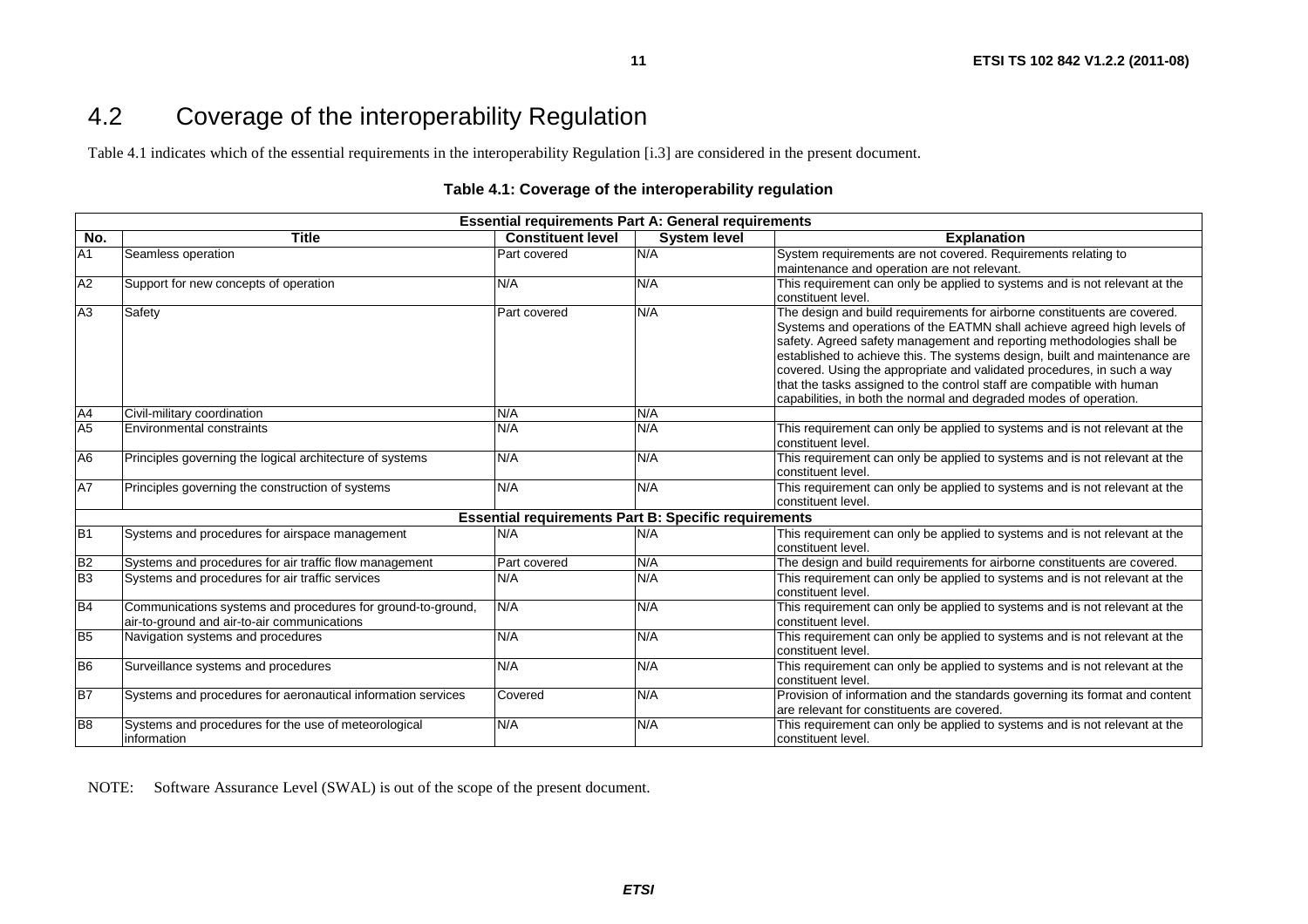### 4.2 Coverage of the interoperability Regulation

Table 4.1 indicates which of the essential requirements in the interoperability Regulation [i.3] are considered in the present document.

#### **Table 4.1: Coverage of the interoperability regulation**

**11**

| <b>Essential requirements Part A: General requirements</b> |                                                                                                            |                                                             |                     |                                                                                                                                                                                                                                                                                                                                                                                                                                                                                                                                     |  |  |  |
|------------------------------------------------------------|------------------------------------------------------------------------------------------------------------|-------------------------------------------------------------|---------------------|-------------------------------------------------------------------------------------------------------------------------------------------------------------------------------------------------------------------------------------------------------------------------------------------------------------------------------------------------------------------------------------------------------------------------------------------------------------------------------------------------------------------------------------|--|--|--|
| No.                                                        | <b>Title</b>                                                                                               | <b>Constituent level</b>                                    | <b>System level</b> | <b>Explanation</b>                                                                                                                                                                                                                                                                                                                                                                                                                                                                                                                  |  |  |  |
| A1                                                         | Seamless operation                                                                                         | <b>Part covered</b>                                         | N/A                 | System requirements are not covered. Requirements relating to                                                                                                                                                                                                                                                                                                                                                                                                                                                                       |  |  |  |
|                                                            |                                                                                                            |                                                             |                     | maintenance and operation are not relevant.                                                                                                                                                                                                                                                                                                                                                                                                                                                                                         |  |  |  |
| A2                                                         | Support for new concepts of operation                                                                      | N/A                                                         | N/A                 | This requirement can only be applied to systems and is not relevant at the<br>constituent level.                                                                                                                                                                                                                                                                                                                                                                                                                                    |  |  |  |
| A3                                                         | Safety                                                                                                     | Part covered                                                | N/A                 | The design and build requirements for airborne constituents are covered.<br>Systems and operations of the EATMN shall achieve agreed high levels of<br>safety. Agreed safety management and reporting methodologies shall be<br>established to achieve this. The systems design, built and maintenance are<br>covered. Using the appropriate and validated procedures, in such a way<br>that the tasks assigned to the control staff are compatible with human<br>capabilities, in both the normal and degraded modes of operation. |  |  |  |
| A4                                                         | Civil-military coordination                                                                                | N/A                                                         | N/A                 |                                                                                                                                                                                                                                                                                                                                                                                                                                                                                                                                     |  |  |  |
| A <sub>5</sub>                                             | <b>Environmental constraints</b>                                                                           | N/A                                                         | N/A                 | This requirement can only be applied to systems and is not relevant at the<br>constituent level.                                                                                                                                                                                                                                                                                                                                                                                                                                    |  |  |  |
| A <sub>6</sub>                                             | Principles governing the logical architecture of systems                                                   | N/A                                                         | N/A                 | This requirement can only be applied to systems and is not relevant at the<br>constituent level.                                                                                                                                                                                                                                                                                                                                                                                                                                    |  |  |  |
| <b>A7</b>                                                  | Principles governing the construction of systems                                                           | N/A                                                         | N/A                 | This requirement can only be applied to systems and is not relevant at the<br>constituent level.                                                                                                                                                                                                                                                                                                                                                                                                                                    |  |  |  |
|                                                            |                                                                                                            | <b>Essential requirements Part B: Specific requirements</b> |                     |                                                                                                                                                                                                                                                                                                                                                                                                                                                                                                                                     |  |  |  |
| B <sub>1</sub>                                             | Systems and procedures for airspace management                                                             | N/A                                                         | N/A                 | This requirement can only be applied to systems and is not relevant at the<br>constituent level.                                                                                                                                                                                                                                                                                                                                                                                                                                    |  |  |  |
| B <sub>2</sub>                                             | Systems and procedures for air traffic flow management                                                     | Part covered                                                | N/A                 | The design and build requirements for airborne constituents are covered.                                                                                                                                                                                                                                                                                                                                                                                                                                                            |  |  |  |
| B <sub>3</sub>                                             | Systems and procedures for air traffic services                                                            | N/A                                                         | N/A                 | This requirement can only be applied to systems and is not relevant at the<br>constituent level.                                                                                                                                                                                                                                                                                                                                                                                                                                    |  |  |  |
| <b>B4</b>                                                  | Communications systems and procedures for ground-to-ground,<br>air-to-ground and air-to-air communications | N/A                                                         | N/A                 | This requirement can only be applied to systems and is not relevant at the<br>constituent level.                                                                                                                                                                                                                                                                                                                                                                                                                                    |  |  |  |
| B <sub>5</sub>                                             | Navigation systems and procedures                                                                          | N/A                                                         | N/A                 | This requirement can only be applied to systems and is not relevant at the<br>constituent level.                                                                                                                                                                                                                                                                                                                                                                                                                                    |  |  |  |
| B <sub>6</sub>                                             | Surveillance systems and procedures                                                                        | N/A                                                         | N/A                 | This requirement can only be applied to systems and is not relevant at the<br>constituent level.                                                                                                                                                                                                                                                                                                                                                                                                                                    |  |  |  |
| B7                                                         | Systems and procedures for aeronautical information services                                               | Covered                                                     | N/A                 | Provision of information and the standards governing its format and content<br>are relevant for constituents are covered.                                                                                                                                                                                                                                                                                                                                                                                                           |  |  |  |
| B <sub>8</sub>                                             | Systems and procedures for the use of meteorological<br>information                                        | N/A                                                         | N/A                 | This requirement can only be applied to systems and is not relevant at the<br>constituent level.                                                                                                                                                                                                                                                                                                                                                                                                                                    |  |  |  |

NOTE: Software Assurance Level (SWAL) is out of the scope of the present document.

*ETSI*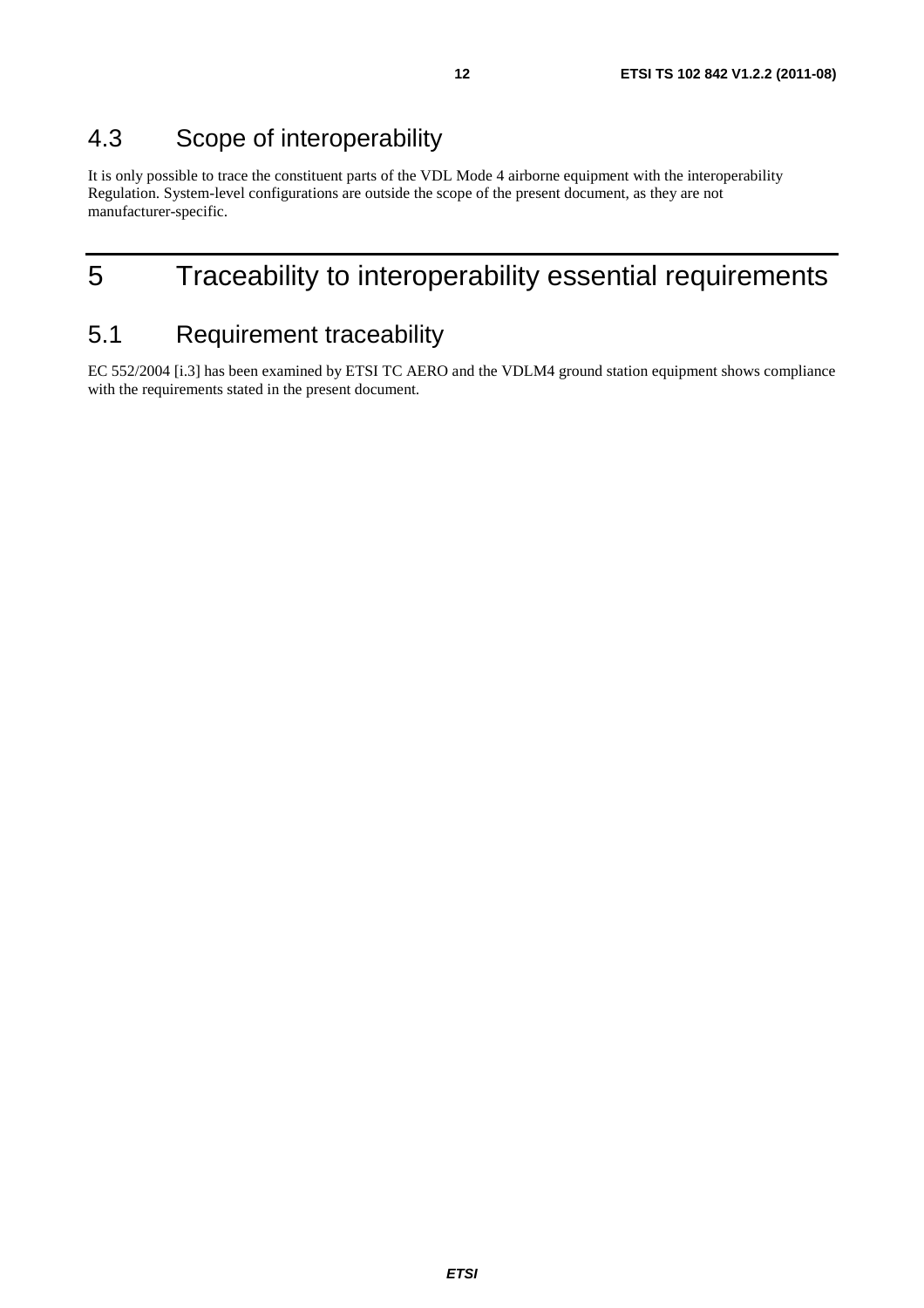### 4.3 Scope of interoperability

It is only possible to trace the constituent parts of the VDL Mode 4 airborne equipment with the interoperability Regulation. System-level configurations are outside the scope of the present document, as they are not manufacturer-specific.

# 5 Traceability to interoperability essential requirements

### 5.1 Requirement traceability

EC 552/2004 [i.3] has been examined by ETSI TC AERO and the VDLM4 ground station equipment shows compliance with the requirements stated in the present document.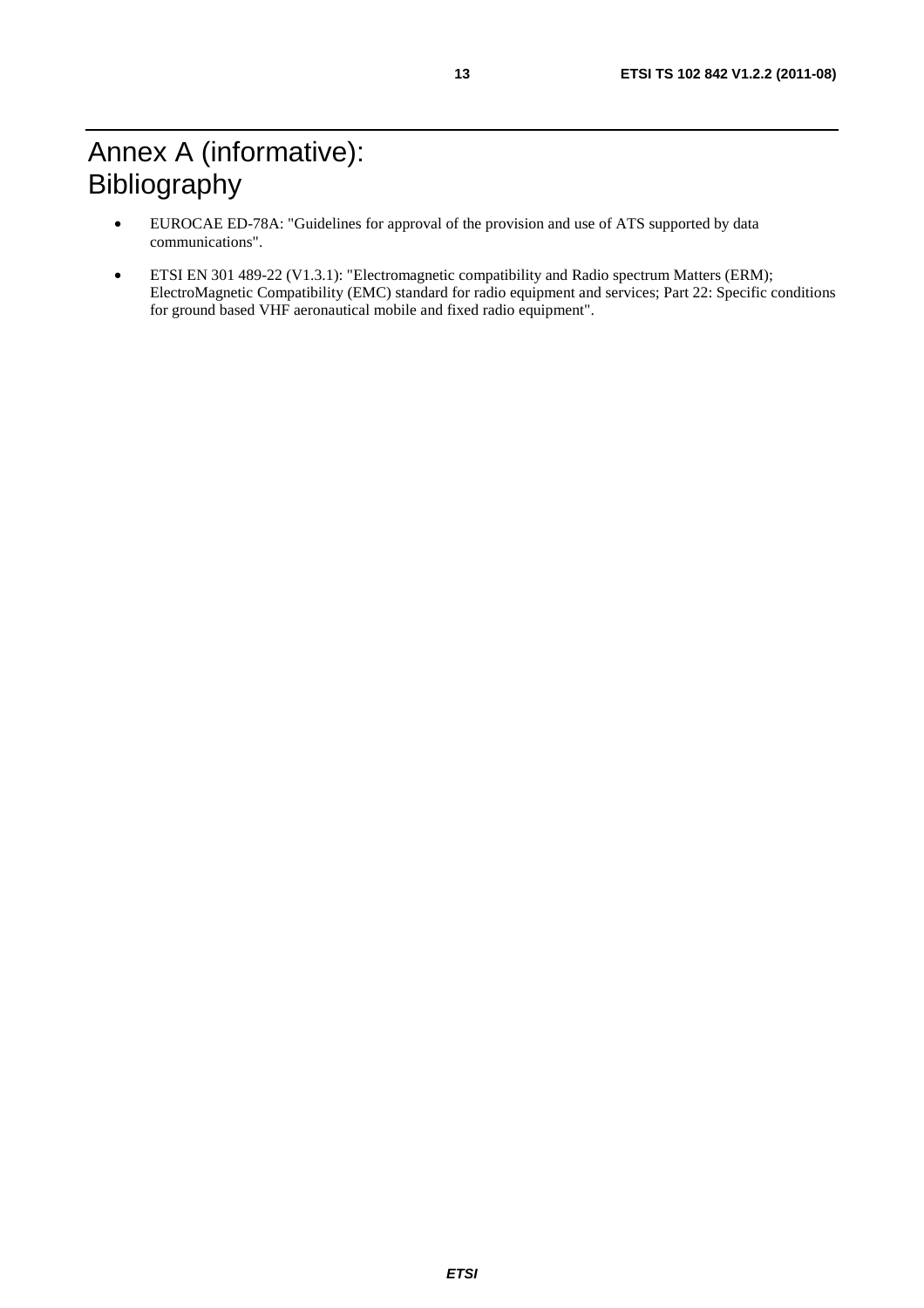- EUROCAE ED-78A: "Guidelines for approval of the provision and use of ATS supported by data communications".
- ETSI EN 301 489-22 (V1.3.1): "Electromagnetic compatibility and Radio spectrum Matters (ERM); ElectroMagnetic Compatibility (EMC) standard for radio equipment and services; Part 22: Specific conditions for ground based VHF aeronautical mobile and fixed radio equipment".